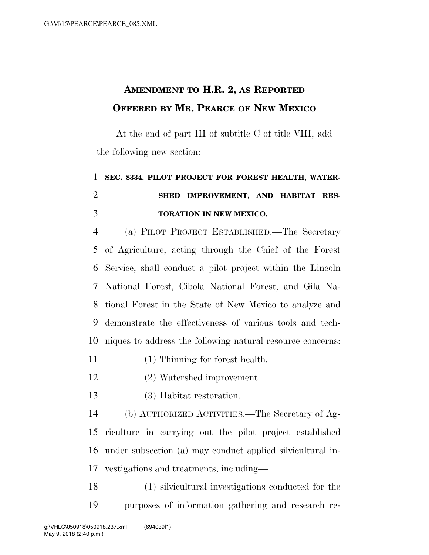## **AMENDMENT TO H.R. 2, AS REPORTED OFFERED BY MR. PEARCE OF NEW MEXICO**

At the end of part III of subtitle C of title VIII, add the following new section:

## **SEC. 8334. PILOT PROJECT FOR FOREST HEALTH, WATER- SHED IMPROVEMENT, AND HABITAT RES-TORATION IN NEW MEXICO.**

 (a) PILOT PROJECT ESTABLISHED.—The Secretary of Agriculture, acting through the Chief of the Forest Service, shall conduct a pilot project within the Lincoln National Forest, Cibola National Forest, and Gila Na- tional Forest in the State of New Mexico to analyze and demonstrate the effectiveness of various tools and tech-niques to address the following natural resource concerns:

(1) Thinning for forest health.

(2) Watershed improvement.

(3) Habitat restoration.

 (b) AUTHORIZED ACTIVITIES.—The Secretary of Ag- riculture in carrying out the pilot project established under subsection (a) may conduct applied silvicultural in-vestigations and treatments, including—

 (1) silvicultural investigations conducted for the purposes of information gathering and research re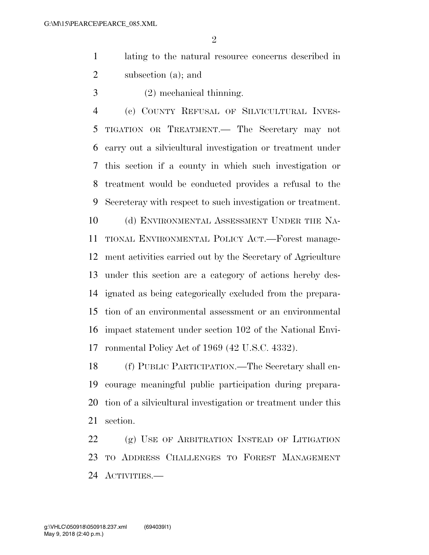$\mathfrak{D}$ 

- lating to the natural resource concerns described in subsection (a); and
- (2) mechanical thinning.

 (c) COUNTY REFUSAL OF SILVICULTURAL INVES- TIGATION OR TREATMENT.— The Secretary may not carry out a silvicultural investigation or treatment under this section if a county in which such investigation or treatment would be conducted provides a refusal to the Secreteray with respect to such investigation or treatment. 10 (d) ENVIRONMENTAL ASSESSMENT UNDER THE NA- TIONAL ENVIRONMENTAL POLICY ACT.—Forest manage- ment activities carried out by the Secretary of Agriculture under this section are a category of actions hereby des- ignated as being categorically excluded from the prepara- tion of an environmental assessment or an environmental impact statement under section 102 of the National Envi-ronmental Policy Act of 1969 (42 U.S.C. 4332).

 (f) PUBLIC PARTICIPATION.—The Secretary shall en- courage meaningful public participation during prepara- tion of a silvicultural investigation or treatment under this section.

 (g) USE OF ARBITRATION INSTEAD OF LITIGATION TO ADDRESS CHALLENGES TO FOREST MANAGEMENT ACTIVITIES.—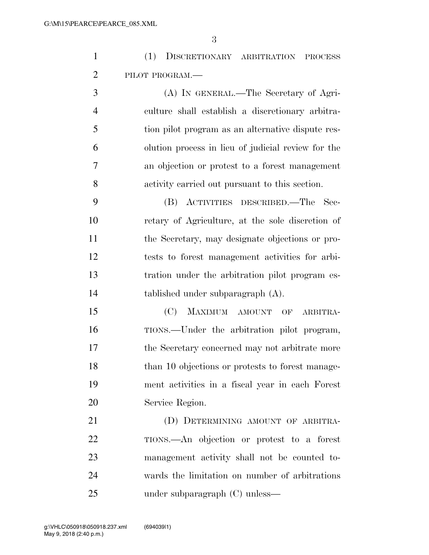|                | (1) DISCRETIONARY ARBITRATION PROCESS            |
|----------------|--------------------------------------------------|
| 2              | PILOT PROGRAM.-                                  |
| 3              | (A) IN GENERAL.—The Secretary of Agri-           |
| $\overline{4}$ | culture shall establish a discretionary arbitra- |
|                |                                                  |

 tion pilot program as an alternative dispute res- olution process in lieu of judicial review for the an objection or protest to a forest management activity carried out pursuant to this section.

 (B) ACTIVITIES DESCRIBED.—The Sec- retary of Agriculture, at the sole discretion of the Secretary, may designate objections or pro- tests to forest management activities for arbi- tration under the arbitration pilot program es-tablished under subparagraph (A).

 (C) MAXIMUM AMOUNT OF ARBITRA- TIONS.—Under the arbitration pilot program, the Secretary concerned may not arbitrate more 18 than 10 objections or protests to forest manage- ment activities in a fiscal year in each Forest Service Region.

21 (D) DETERMINING AMOUNT OF ARBITRA- TIONS.—An objection or protest to a forest management activity shall not be counted to- wards the limitation on number of arbitrations under subparagraph (C) unless—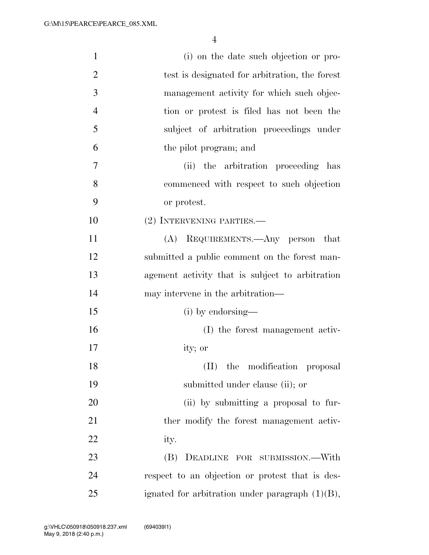| $\mathbf{1}$   | (i) on the date such objection or pro-             |
|----------------|----------------------------------------------------|
| $\overline{2}$ | test is designated for arbitration, the forest     |
| 3              | management activity for which such objec-          |
| $\overline{4}$ | tion or protest is filed has not been the          |
| 5              | subject of arbitration proceedings under           |
| 6              | the pilot program; and                             |
| 7              | (ii) the arbitration proceeding has                |
| 8              | commenced with respect to such objection           |
| 9              | or protest.                                        |
| 10             | (2) INTERVENING PARTIES.—                          |
| 11             | (A) REQUIREMENTS.—Any person that                  |
| 12             | submitted a public comment on the forest man-      |
| 13             | agement activity that is subject to arbitration    |
| 14             | may intervene in the arbitration—                  |
| 15             | (i) by endorsing—                                  |
| 16             | (I) the forest management activ-                   |
| 17             | ity; or                                            |
| 18             | (II) the modification proposal                     |
| 19             | submitted under clause (ii); or                    |
| 20             | (ii) by submitting a proposal to fur-              |
| 21             | ther modify the forest management activ-           |
| 22             | ity.                                               |
| 23             | (B) DEADLINE FOR SUBMISSION.—With                  |
| 24             | respect to an objection or protest that is des-    |
| 25             | ignated for arbitration under paragraph $(1)(B)$ , |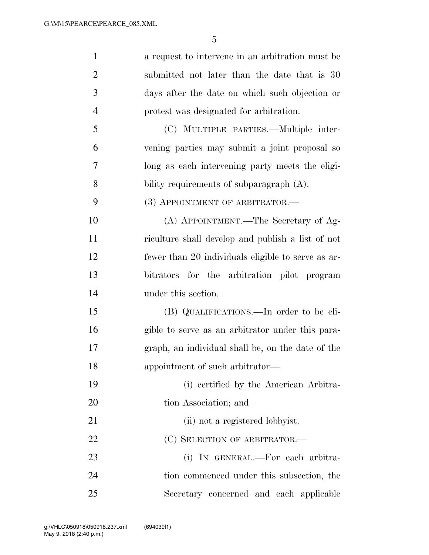| $\mathbf{1}$   | a request to intervene in an arbitration must be   |
|----------------|----------------------------------------------------|
| $\overline{2}$ | submitted not later than the date that is 30       |
| 3              | days after the date on which such objection or     |
| $\overline{4}$ | protest was designated for arbitration.            |
| 5              | (C) MULTIPLE PARTIES.—Multiple inter-              |
| 6              | vening parties may submit a joint proposal so      |
| 7              | long as each intervening party meets the eligi-    |
| 8              | bility requirements of subparagraph $(A)$ .        |
| 9              | (3) APPOINTMENT OF ARBITRATOR.—                    |
| 10             | (A) APPOINTMENT.—The Secretary of Ag-              |
| 11             | riculture shall develop and publish a list of not  |
| 12             | fewer than 20 individuals eligible to serve as ar- |
| 13             | bitrators for the arbitration pilot program        |
| 14             | under this section.                                |
| 15             | (B) QUALIFICATIONS.—In order to be eli-            |
| 16             | gible to serve as an arbitrator under this para-   |
| 17             | graph, an individual shall be, on the date of the  |
| 18             | appointment of such arbitrator-                    |
| 19             | (i) certified by the American Arbitra-             |
| 20             | tion Association; and                              |
| 21             | (ii) not a registered lobbyist.                    |
| 22             | (C) SELECTION OF ARBITRATOR.—                      |
| 23             | (i) IN GENERAL.—For each arbitra-                  |
| 24             | tion commenced under this subsection, the          |
| 25             | Secretary concerned and each applicable            |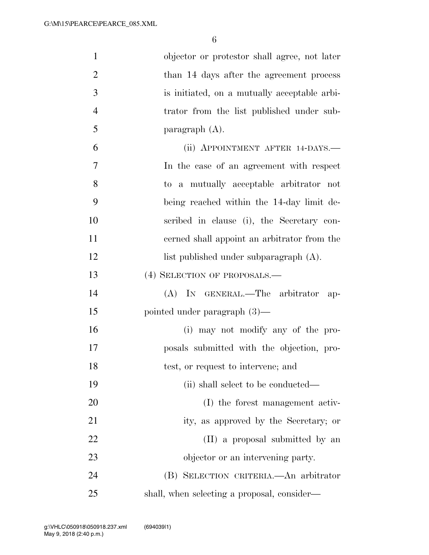| $\mathbf{1}$   | objector or protestor shall agree, not later |
|----------------|----------------------------------------------|
| $\overline{2}$ | than 14 days after the agreement process     |
| 3              | is initiated, on a mutually acceptable arbi- |
| $\overline{4}$ | trator from the list published under sub-    |
| 5              | paragraph $(A)$ .                            |
| 6              | (ii) APPOINTMENT AFTER 14-DAYS.-             |
| 7              | In the case of an agreement with respect     |
| 8              | to a mutually acceptable arbitrator not      |
| 9              | being reached within the 14-day limit de-    |
| 10             | scribed in clause (i), the Secretary con-    |
| 11             | cerned shall appoint an arbitrator from the  |
| 12             | list published under subparagraph (A).       |
| 13             | (4) SELECTION OF PROPOSALS.-                 |
| 14             | $(A)$ In GENERAL.—The arbitrator<br>ap-      |
| 15             | pointed under paragraph $(3)$ —              |
| 16             | (i) may not modify any of the pro-           |
| 17             | posals submitted with the objection, pro-    |
| 18             | test, or request to intervene; and           |
| 19             | (ii) shall select to be conducted—           |
| 20             | (I) the forest management activ-             |
| 21             | ity, as approved by the Secretary; or        |
| 22             | (II) a proposal submitted by an              |
| 23             | objector or an intervening party.            |
| 24             | (B) SELECTION CRITERIA.—An arbitrator        |
| 25             | shall, when selecting a proposal, consider—  |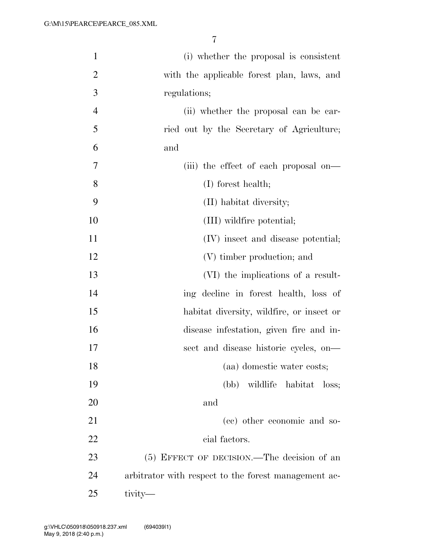| $\mathbf{1}$   | (i) whether the proposal is consistent               |
|----------------|------------------------------------------------------|
| $\overline{2}$ | with the applicable forest plan, laws, and           |
| 3              | regulations;                                         |
| $\overline{4}$ | (ii) whether the proposal can be car-                |
| 5              | ried out by the Secretary of Agriculture;            |
| 6              | and                                                  |
| 7              | (iii) the effect of each proposal on—                |
| 8              | $(I)$ forest health;                                 |
| 9              | (II) habitat diversity;                              |
| 10             | (III) wildfire potential;                            |
| 11             | (IV) insect and disease potential;                   |
| 12             | (V) timber production; and                           |
| 13             | (VI) the implications of a result-                   |
| 14             | ing decline in forest health, loss of                |
| 15             | habitat diversity, wildfire, or insect or            |
| 16             | disease infestation, given fire and in-              |
| 17             | sect and disease historic cycles, on-                |
| 18             | (aa) domestic water costs;                           |
| 19             | (bb) wildlife habitat loss;                          |
| 20             | and                                                  |
| 21             | (cc) other economic and so-                          |
| 22             | cial factors.                                        |
| 23             | (5) EFFECT OF DECISION.—The decision of an           |
| 24             | arbitrator with respect to the forest management ac- |
| 25             | tivity—                                              |